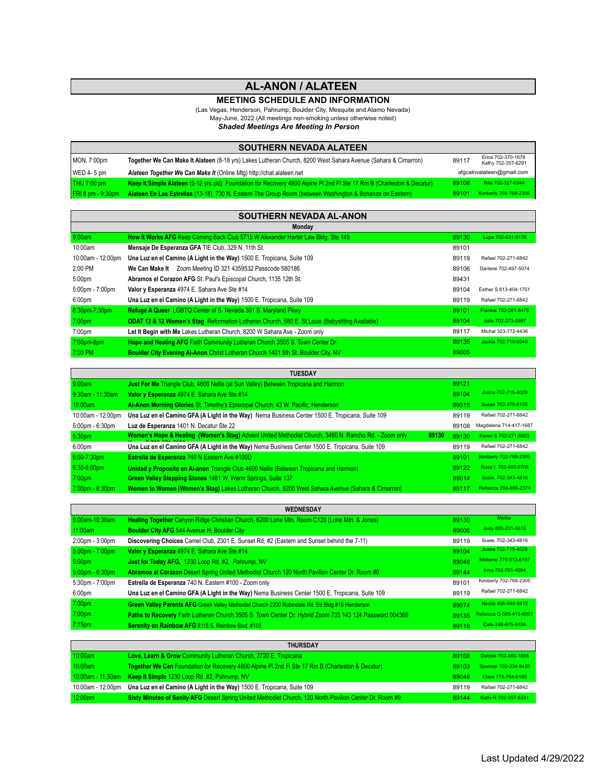## **AL-ANON / ALATEEN**

## **MEETING SCHEDULE AND INFORMATION**

(Las Vegas, Henderson, Pahrump, Boulder City, Mesquite and Alamo Nevada)

May-June, 2022 (All meetings non-smoking unless otherwise noted)

*Shaded Meetings Are Meeting In Person*

| <b>SOUTHERN NEVADA ALATEEN</b> |                                                                                                                        |       |                                          |  |
|--------------------------------|------------------------------------------------------------------------------------------------------------------------|-------|------------------------------------------|--|
| MON, 7:00pm                    | Together We Can Make It Alateen (8-18 yrs) Lakes Lutheran Church, 8200 West Sahara Avenue (Sahara & Cimarron)          | 89117 | Erica 702-370-1678<br>Kathy 702-357-6291 |  |
| $WED$ 4-5 pm                   | Alateen Together We Can Make It (Online Mtg) http://chat.alateen.net                                                   |       | afgcalnvalateen@gmail.com                |  |
| $THU$ 7:00 pm                  | Keep It Simple Alateen (5-12 yrs old) Foundation for Recovery 4800 Alpine PI 2nd FI Ste 17 Rm B (Charleston & Decatur) | 89108 | Rita 702-327-0344                        |  |
| $FRI 8 pm - 9:30pm$            | Alateen En Las Estrellas (13-18) 730 N. Eastern The Group Room (between Washington & Bonanza on Eastern)               | 89101 | Kimberly 702-768-2305                    |  |

| <b>SOUTHERN NEVADA AL-ANON</b>    |                                                                                                            |       |                       |  |  |
|-----------------------------------|------------------------------------------------------------------------------------------------------------|-------|-----------------------|--|--|
| Monday                            |                                                                                                            |       |                       |  |  |
| 9:00am                            | How It Works AFG Keep Coming Back Club 5715 W Alexander Harter Law Bldg. Ste 145                           | 89130 | Lupe 702-631-9176     |  |  |
| 10:00am                           | Mensaje De Esperanza GFA TIE Club, 329 N. 11th St.                                                         | 89101 |                       |  |  |
| 10:00am - 12:00pm                 | Una Luz en el Camino (A Light in the Way) 1500 E. Tropicana, Suite 109                                     | 89119 | Rafael 702-271-6842   |  |  |
| 2:00 PM                           | We Can Make It Zoom Meeting ID 321 4359532 Passcode 580186                                                 | 89106 | Darlene 702-497-5074  |  |  |
| 5:00 <sub>pm</sub>                | Abramos el Corazon AFG St. Paul's Episcopal Church, 1135 12th St.                                          | 89431 |                       |  |  |
| $5:00 \text{pm} - 7:00 \text{pm}$ | Valor y Esperanza 4974 E. Sahara Ave Ste #14                                                               | 89104 | Esther S 813-404-1751 |  |  |
| 6:00 <sub>pm</sub>                | Una Luz en el Camino (A Light in the Way) 1500 E. Tropicana, Suite 109                                     | 89119 | Rafael 702-271-6842   |  |  |
| 6:30pm-7:30pm                     | <b>Refuge A Queer LGBTQ Center of S. Nevada 301 S. Maryland Pkwy</b>                                       | 89101 | Frankie 702-281-5479  |  |  |
| 7:00 <sub>pm</sub>                | <b>ODAT 12 &amp; 12 Women's Stag</b> Reformation Lutheran Church, 580 E. St. Louis (Babysitting Available) | 89104 | Julie 702-273-0987    |  |  |
| 7:00 <sub>pm</sub>                | Let It Begin with Me Lakes Lutheran Church, 8200 W Sahara Ave - Zoom only                                  | 89117 | Michal 323-772-4436   |  |  |
| 7:00pm-8pm                        | Hope and Healing AFG Faith Community Lutheran Church 3505 S. Town Center Dr.                               | 89135 | Jackie 702-715-9340   |  |  |
| 7:00 PM                           | <b>Boulder City Evening Al-Anon Christ Lutheran Church 1401 5th St. Boulder City, NV</b>                   | 89005 |                       |  |  |

| <b>TUESDAY</b>                    |                                                                                                               |       |                        |  |
|-----------------------------------|---------------------------------------------------------------------------------------------------------------|-------|------------------------|--|
| 9:00am                            | Just For Me Triangle Club, 4600 Nellis (at Sun Valley) Between Tropicana and Harmon                           | 89121 |                        |  |
| $9:30$ am - 11:30am               | Valor y Esperanza 4974 E. Sahara Ave Ste #14                                                                  | 89104 | Juana 702-715-4029     |  |
| 10:00am                           | Al-Anon Morning Glories St. Timothy's Episcopal Church, 43 W. Pacific, Henderson                              | 89015 | Susan 702-379-9105     |  |
| 10:00am - 12:00pm                 | Una Luz en el Camino GFA (A Light in the Way) Nema Business Center 1500 E. Tropicana, Suite 109               | 89119 | Rafael 702-271-6842    |  |
| $5:00 \text{pm} - 6:30 \text{pm}$ | Luz de Esperanza 1401 N. Decatur Ste 22                                                                       | 89108 | Magdalena 714-417-1687 |  |
| 5:30 <sub>pm</sub>                | Women's Hope & Healing (Women's Stag) Advent United Methodist Church, 3460 N. Rancho Rd. - Zoom only<br>89130 | 89130 | Karen S 702-271-5903   |  |
| 6:00 <sub>pm</sub>                | Una Luz en el Camino GFA (A Light in the Way) Nema Business Center 1500 E. Tropicana, Suite 109               | 89119 | Rafael 702-271-6842    |  |
| 6:00-7:30pm                       | Estrella de Esperanza 740 N Eastern Ave #100D                                                                 | 89101 | Kimberly 702-768-2305  |  |
| $6:30-8:00$ pm                    | <b>Unidad y Proposito en Al-anon Triangle Club 4600 Nellis (Between Tropicana and Harmon)</b>                 | 89122 | Rosa I. 702-460-8706   |  |
| 7:00 <sub>pm</sub>                | Green Valley Stepping Stones 1481 W. Warm Springs, Suite 137                                                  | 89014 | Susie, 702-343-4816    |  |
| 7:00pm - 8:30pm                   | Women to Women (Women's Stag) Lakes Lutheran Church, 8200 West Sahara Avenue (Sahara & Cimarron)              | 89117 | Rebecca 208-866-2374   |  |

| <b>WEDNESDAY</b>                  |                                                                                                         |       |                        |  |
|-----------------------------------|---------------------------------------------------------------------------------------------------------|-------|------------------------|--|
| 9:00am-10:30am                    | Healing Together Canyon Ridge Christian Church, 6200 Lone Mtn, Room C120 (Lone Mtn. & Jones)            | 89130 | Melita                 |  |
| 11:00am                           | <b>Boulder City AFG 544 Avenue H, Boulder City</b>                                                      | 89005 | Judy 805-231-5612      |  |
| $2:00 \text{pm} - 3:00 \text{pm}$ | Discovering Choices Camel Club, 2301 E. Sunset Rd, #2 (Eastern and Sunset behind the 7-11)              | 89119 | Susie, 702-343-4816    |  |
| $5:00 \text{pm} - 7:00 \text{pm}$ | Valor y Esperanza 4974 E. Sahara Ave Ste #14                                                            | 89104 | Juana 702-715-4029     |  |
| 5:00 <sub>pm</sub>                | Just for Today AFG, 1230 Loop Rd. #2, Pahrump, NV                                                       | 89048 | Mellanie 775-513-6157  |  |
| $5:00$ pm - 6:30pm                | Abramos al Corazon Desert Spring United Methodist Church 120 North Pavilion Center Dr. Room #9          | 89144 | Irma 702-701-4094      |  |
| $5:30$ pm - $7:00$ pm             | Estrella de Esperanza 740 N. Eastern #100 - Zoom only                                                   | 89101 | Kimberly 702-768-2305  |  |
| 6:00 <sub>pm</sub>                | Una Luz en el Camino GFA (A Light in the Way) Nema Business Center 1500 E. Tropicana, Suite 109         | 89119 | Rafael 702-271-6842    |  |
| 7:00 <sub>pm</sub>                | Green Valley Parents AFG Green Valley Methodist Church 2200 Robindale Rd. Ed Bldg #10 Henderson         | 89074 | Nicole 406-544-9412    |  |
| 7:00 <sub>pm</sub>                | Paths to Recovery Faith Lutheran Church 3505 S. Town Center Dr. Hybrid Zoom 733 143 124 Password 004368 | 89135 | Rebecca G 585-413-8061 |  |
| 7:15 <sub>pm</sub>                | Serenity on Rainbow AFG 6115 S. Rainbow Blvd. #103                                                      | 89118 | Cate 248-675-9104      |  |

| <b>THURSDAY</b>     |                                                                                                          |       |                      |
|---------------------|----------------------------------------------------------------------------------------------------------|-------|----------------------|
| 10:00am             | Love, Learn & Grow Community Lutheran Church, 3720 E. Tropicana                                          | 89108 | Debbie 702-460-1888  |
| 10:00am             | Together We Can Foundation for Recovery 4800 Alpine PI 2nd FI Ste 17 Rm B (Charleston & Decatur)         | 89103 | Spencer 702-234-9455 |
|                     | 10:00am - 11:30am Keep It Simple 1230 Loop Rd. #2, Pahrump, NV                                           | 89048 | Clara 775-764-0185   |
|                     | 10:00am - 12:00pm Una Luz en el Camino (A Light in the Way) 1500 E. Tropicana, Suite 109                 | 89119 | Rafael 702-271-6842  |
| 12:00 <sub>pm</sub> | Sixty Minutes of Sanity AFG Desert Spring United Methodist Church, 120 North Pavilion Center Dr. Room #9 | 89144 | Kathi R 702-357-6291 |